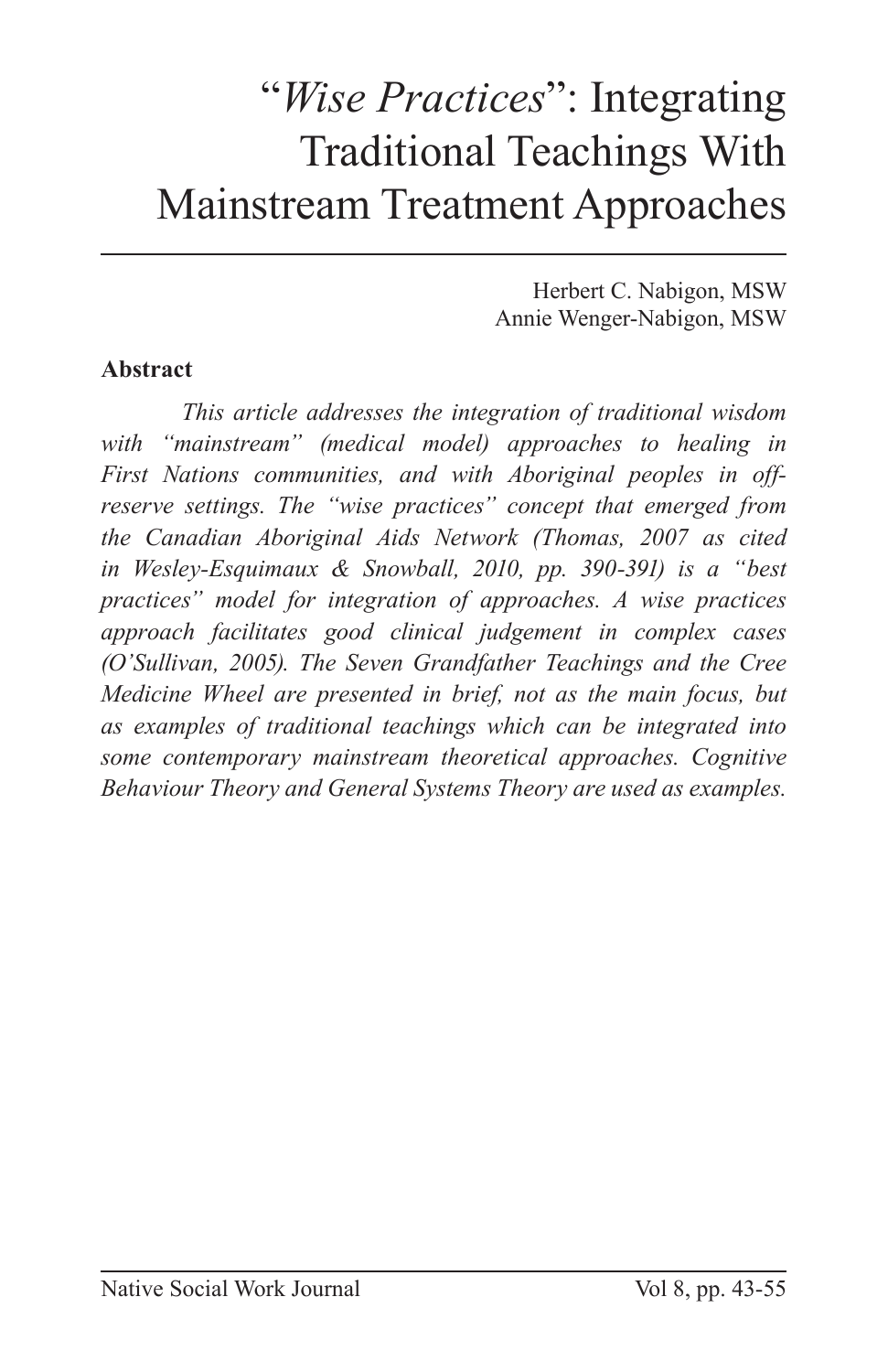## "*Wise Practices*": Integrating Traditional Teachings With Mainstream Treatment Approaches

Herbert C. Nabigon, MSW Annie Wenger-Nabigon, MSW

### **Abstract**

*This article addresses the integration of traditional wisdom with "mainstream" (medical model) approaches to healing in First Nations communities, and with Aboriginal peoples in offreserve settings. The "wise practices" concept that emerged from the Canadian Aboriginal Aids Network (Thomas, 2007 as cited in Wesley-Esquimaux & Snowball, 2010, pp. 390-391) is a "best practices" model for integration of approaches. A wise practices approach facilitates good clinical judgement in complex cases (O'Sullivan, 2005). The Seven Grandfather Teachings and the Cree Medicine Wheel are presented in brief, not as the main focus, but as examples of traditional teachings which can be integrated into some contemporary mainstream theoretical approaches. Cognitive Behaviour Theory and General Systems Theory are used as examples.*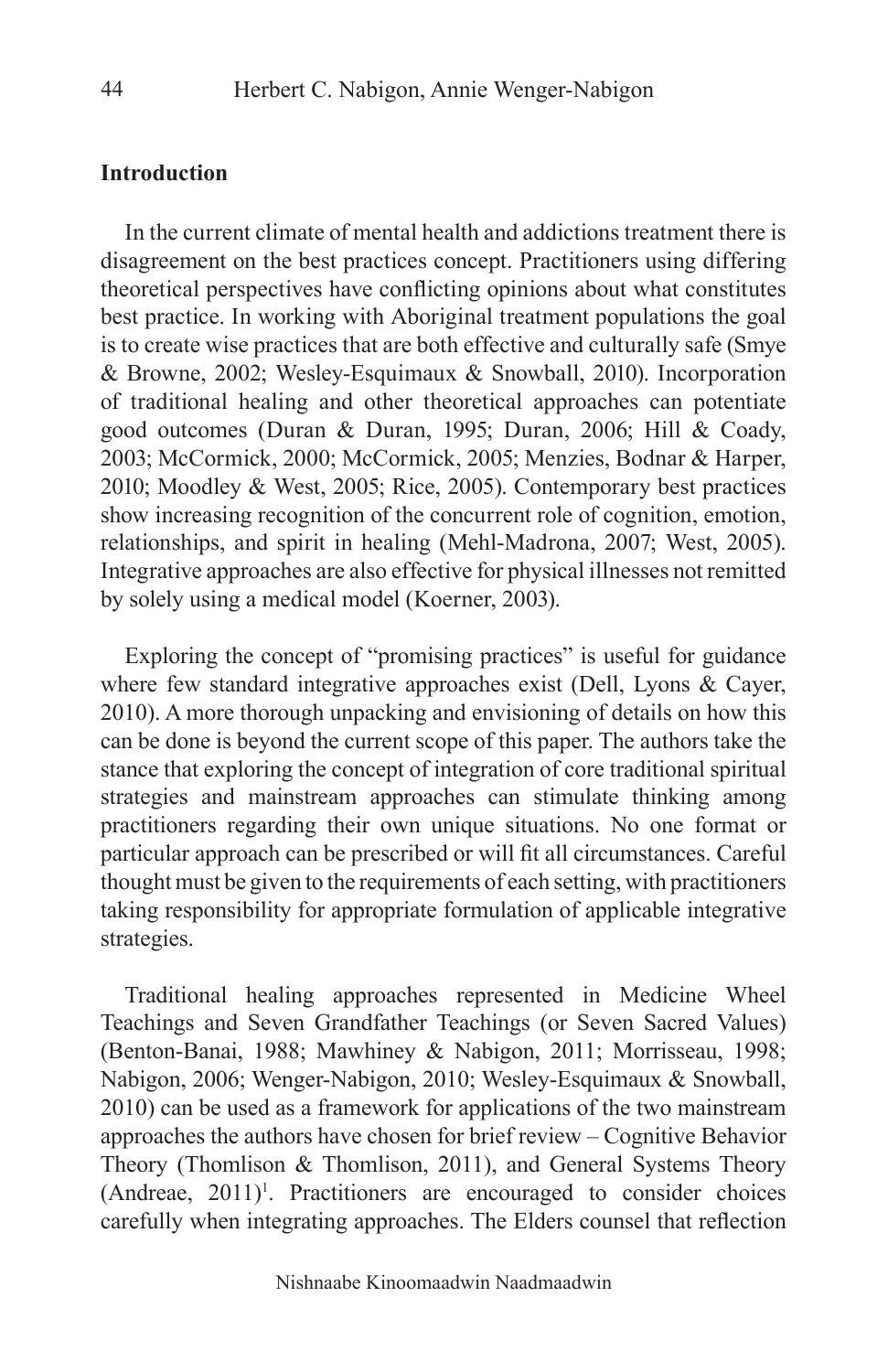#### **Introduction**

In the current climate of mental health and addictions treatment there is disagreement on the best practices concept. Practitioners using differing theoretical perspectives have conflicting opinions about what constitutes best practice. In working with Aboriginal treatment populations the goal is to create wise practices that are both effective and culturally safe (Smye & Browne, 2002; Wesley-Esquimaux & Snowball, 2010). Incorporation of traditional healing and other theoretical approaches can potentiate good outcomes (Duran & Duran, 1995; Duran, 2006; Hill & Coady, 2003; McCormick, 2000; McCormick, 2005; Menzies, Bodnar & Harper, 2010; Moodley & West, 2005; Rice, 2005). Contemporary best practices show increasing recognition of the concurrent role of cognition, emotion, relationships, and spirit in healing (Mehl-Madrona, 2007; West, 2005). Integrative approaches are also effective for physical illnesses not remitted by solely using a medical model (Koerner, 2003).

Exploring the concept of "promising practices" is useful for guidance where few standard integrative approaches exist (Dell, Lyons & Cayer, 2010). A more thorough unpacking and envisioning of details on how this can be done is beyond the current scope of this paper. The authors take the stance that exploring the concept of integration of core traditional spiritual strategies and mainstream approaches can stimulate thinking among practitioners regarding their own unique situations. No one format or particular approach can be prescribed or will fit all circumstances. Careful thought must be given to the requirements of each setting, with practitioners taking responsibility for appropriate formulation of applicable integrative strategies.

Traditional healing approaches represented in Medicine Wheel Teachings and Seven Grandfather Teachings (or Seven Sacred Values) (Benton-Banai, 1988; Mawhiney & Nabigon, 2011; Morrisseau, 1998; Nabigon, 2006; Wenger-Nabigon, 2010; Wesley-Esquimaux & Snowball, 2010) can be used as a framework for applications of the two mainstream approaches the authors have chosen for brief review – Cognitive Behavior Theory (Thomlison & Thomlison, 2011), and General Systems Theory (Andreae, 2011)<sup>1</sup>. Practitioners are encouraged to consider choices carefully when integrating approaches. The Elders counsel that reflection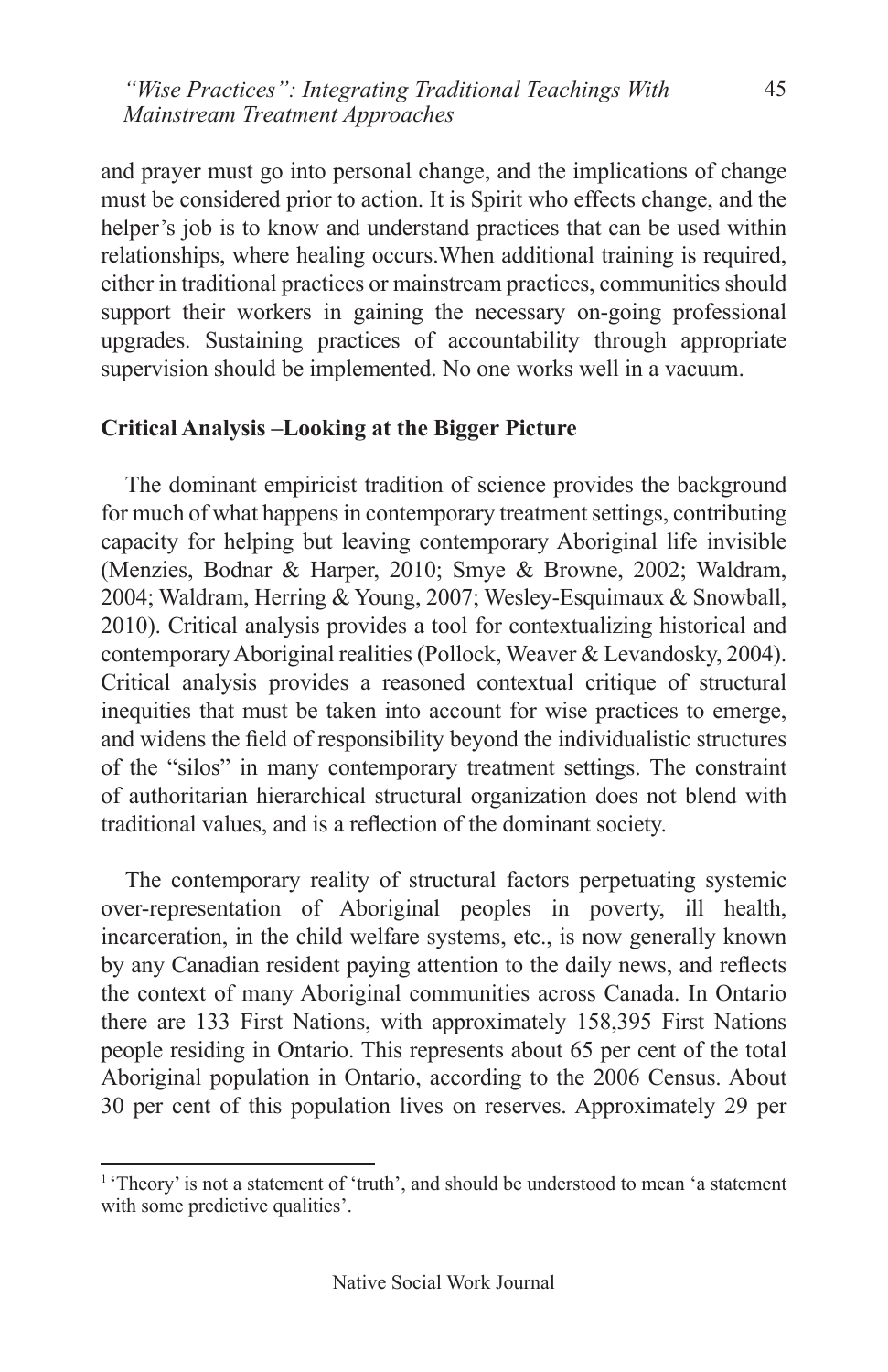and prayer must go into personal change, and the implications of change must be considered prior to action. It is Spirit who effects change, and the helper's job is to know and understand practices that can be used within relationships, where healing occurs.When additional training is required, either in traditional practices or mainstream practices, communities should support their workers in gaining the necessary on-going professional upgrades. Sustaining practices of accountability through appropriate supervision should be implemented. No one works well in a vacuum.

#### **Critical Analysis –Looking at the Bigger Picture**

The dominant empiricist tradition of science provides the background for much of what happens in contemporary treatment settings, contributing capacity for helping but leaving contemporary Aboriginal life invisible (Menzies, Bodnar & Harper, 2010; Smye & Browne, 2002; Waldram, 2004; Waldram, Herring & Young, 2007; Wesley-Esquimaux & Snowball, 2010). Critical analysis provides a tool for contextualizing historical and contemporary Aboriginal realities (Pollock, Weaver & Levandosky, 2004). Critical analysis provides a reasoned contextual critique of structural inequities that must be taken into account for wise practices to emerge, and widens the field of responsibility beyond the individualistic structures of the "silos" in many contemporary treatment settings. The constraint of authoritarian hierarchical structural organization does not blend with traditional values, and is a reflection of the dominant society.

The contemporary reality of structural factors perpetuating systemic over-representation of Aboriginal peoples in poverty, ill health, incarceration, in the child welfare systems, etc., is now generally known by any Canadian resident paying attention to the daily news, and reflects the context of many Aboriginal communities across Canada. In Ontario there are 133 First Nations, with approximately 158,395 First Nations people residing in Ontario. This represents about 65 per cent of the total Aboriginal population in Ontario, according to the 2006 Census. About 30 per cent of this population lives on reserves. Approximately 29 per

<sup>&</sup>lt;sup>1</sup> 'Theory' is not a statement of 'truth', and should be understood to mean 'a statement with some predictive qualities'.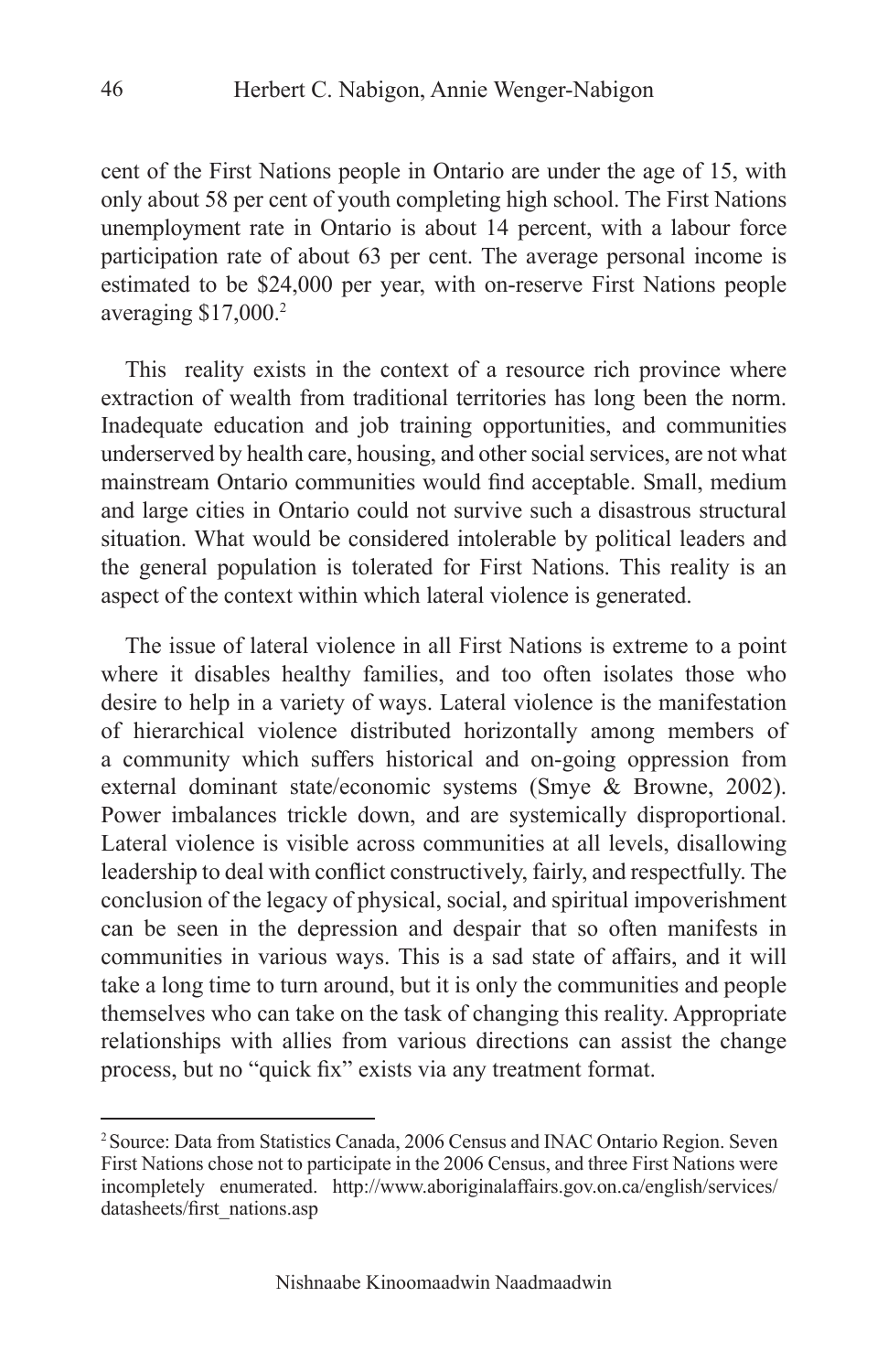cent of the First Nations people in Ontario are under the age of 15, with only about 58 per cent of youth completing high school. The First Nations unemployment rate in Ontario is about 14 percent, with a labour force participation rate of about 63 per cent. The average personal income is estimated to be \$24,000 per year, with on-reserve First Nations people averaging \$17,000.2

This reality exists in the context of a resource rich province where extraction of wealth from traditional territories has long been the norm. Inadequate education and job training opportunities, and communities underserved by health care, housing, and other social services, are not what mainstream Ontario communities would find acceptable. Small, medium and large cities in Ontario could not survive such a disastrous structural situation. What would be considered intolerable by political leaders and the general population is tolerated for First Nations. This reality is an aspect of the context within which lateral violence is generated.

The issue of lateral violence in all First Nations is extreme to a point where it disables healthy families, and too often isolates those who desire to help in a variety of ways. Lateral violence is the manifestation of hierarchical violence distributed horizontally among members of a community which suffers historical and on-going oppression from external dominant state/economic systems (Smye & Browne, 2002). Power imbalances trickle down, and are systemically disproportional. Lateral violence is visible across communities at all levels, disallowing leadership to deal with conflict constructively, fairly, and respectfully. The conclusion of the legacy of physical, social, and spiritual impoverishment can be seen in the depression and despair that so often manifests in communities in various ways. This is a sad state of affairs, and it will take a long time to turn around, but it is only the communities and people themselves who can take on the task of changing this reality. Appropriate relationships with allies from various directions can assist the change process, but no "quick fix" exists via any treatment format.

<sup>2</sup> Source: Data from Statistics Canada, 2006 Census and INAC Ontario Region. Seven First Nations chose not to participate in the 2006 Census, and three First Nations were incompletely enumerated. http://www.aboriginalaffairs.gov.on.ca/english/services/ datasheets/first\_nations.asp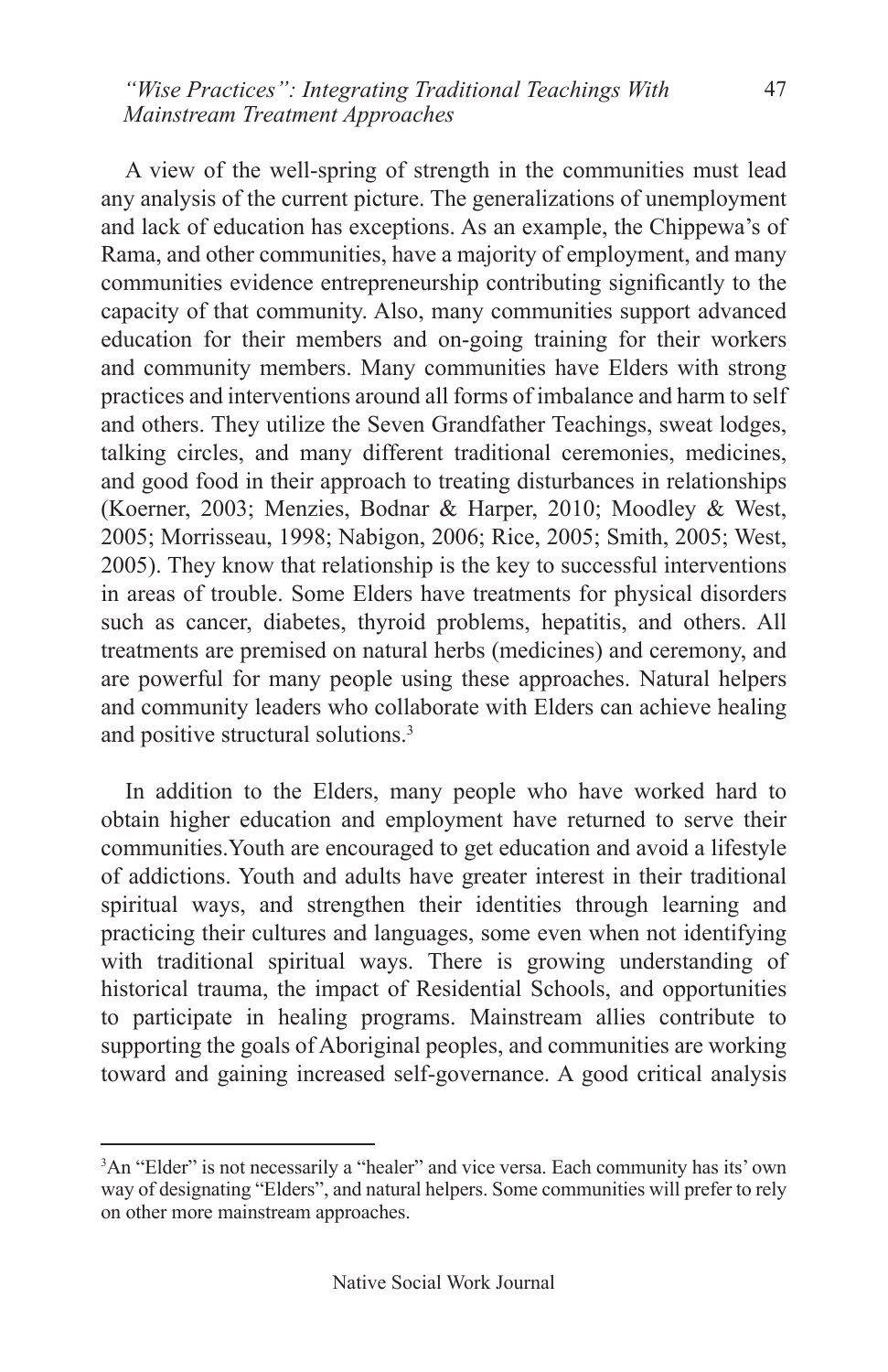A view of the well-spring of strength in the communities must lead any analysis of the current picture. The generalizations of unemployment and lack of education has exceptions. As an example, the Chippewa's of Rama, and other communities, have a majority of employment, and many communities evidence entrepreneurship contributing significantly to the capacity of that community. Also, many communities support advanced education for their members and on-going training for their workers and community members. Many communities have Elders with strong practices and interventions around all forms of imbalance and harm to self and others. They utilize the Seven Grandfather Teachings, sweat lodges, talking circles, and many different traditional ceremonies, medicines, and good food in their approach to treating disturbances in relationships (Koerner, 2003; Menzies, Bodnar & Harper, 2010; Moodley & West, 2005; Morrisseau, 1998; Nabigon, 2006; Rice, 2005; Smith, 2005; West, 2005). They know that relationship is the key to successful interventions in areas of trouble. Some Elders have treatments for physical disorders such as cancer, diabetes, thyroid problems, hepatitis, and others. All treatments are premised on natural herbs (medicines) and ceremony, and are powerful for many people using these approaches. Natural helpers and community leaders who collaborate with Elders can achieve healing and positive structural solutions.<sup>3</sup>

In addition to the Elders, many people who have worked hard to obtain higher education and employment have returned to serve their communities.Youth are encouraged to get education and avoid a lifestyle of addictions. Youth and adults have greater interest in their traditional spiritual ways, and strengthen their identities through learning and practicing their cultures and languages, some even when not identifying with traditional spiritual ways. There is growing understanding of historical trauma, the impact of Residential Schools, and opportunities to participate in healing programs. Mainstream allies contribute to supporting the goals of Aboriginal peoples, and communities are working toward and gaining increased self-governance. A good critical analysis

<sup>&</sup>lt;sup>3</sup>An "Elder" is not necessarily a "healer" and vice versa. Each community has its' own way of designating "Elders", and natural helpers. Some communities will prefer to rely on other more mainstream approaches.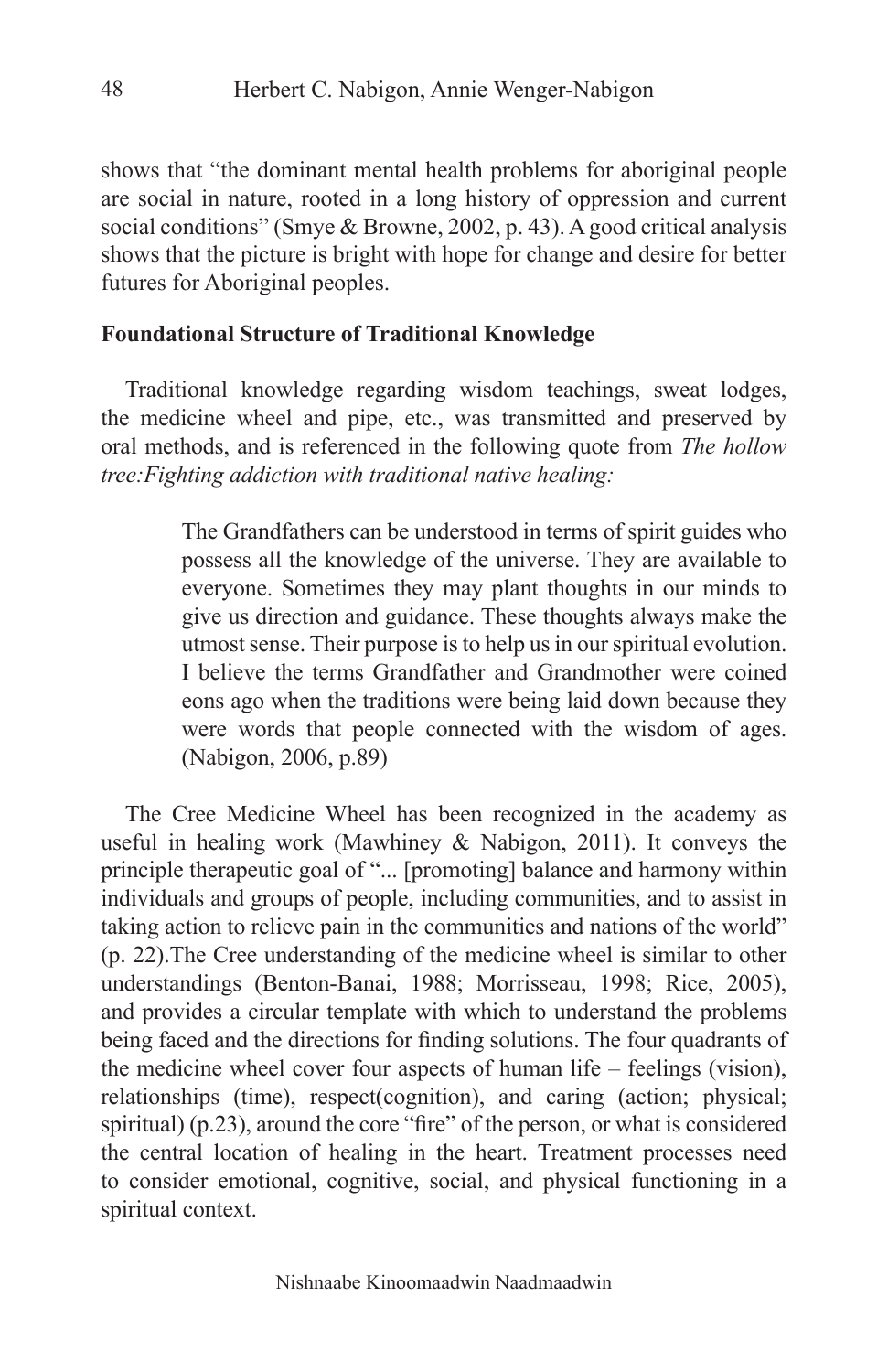shows that "the dominant mental health problems for aboriginal people are social in nature, rooted in a long history of oppression and current social conditions" (Smye & Browne, 2002, p. 43). A good critical analysis shows that the picture is bright with hope for change and desire for better futures for Aboriginal peoples.

#### **Foundational Structure of Traditional Knowledge**

Traditional knowledge regarding wisdom teachings, sweat lodges, the medicine wheel and pipe, etc., was transmitted and preserved by oral methods, and is referenced in the following quote from *The hollow tree:Fighting addiction with traditional native healing:*

> The Grandfathers can be understood in terms of spirit guides who possess all the knowledge of the universe. They are available to everyone. Sometimes they may plant thoughts in our minds to give us direction and guidance. These thoughts always make the utmost sense. Their purpose is to help us in our spiritual evolution. I believe the terms Grandfather and Grandmother were coined eons ago when the traditions were being laid down because they were words that people connected with the wisdom of ages. (Nabigon, 2006, p.89)

The Cree Medicine Wheel has been recognized in the academy as useful in healing work (Mawhiney & Nabigon, 2011). It conveys the principle therapeutic goal of "... [promoting] balance and harmony within individuals and groups of people, including communities, and to assist in taking action to relieve pain in the communities and nations of the world" (p. 22).The Cree understanding of the medicine wheel is similar to other understandings (Benton-Banai, 1988; Morrisseau, 1998; Rice, 2005), and provides a circular template with which to understand the problems being faced and the directions for finding solutions. The four quadrants of the medicine wheel cover four aspects of human life – feelings (vision), relationships (time), respect(cognition), and caring (action; physical; spiritual) (p.23), around the core "fire" of the person, or what is considered the central location of healing in the heart. Treatment processes need to consider emotional, cognitive, social, and physical functioning in a spiritual context.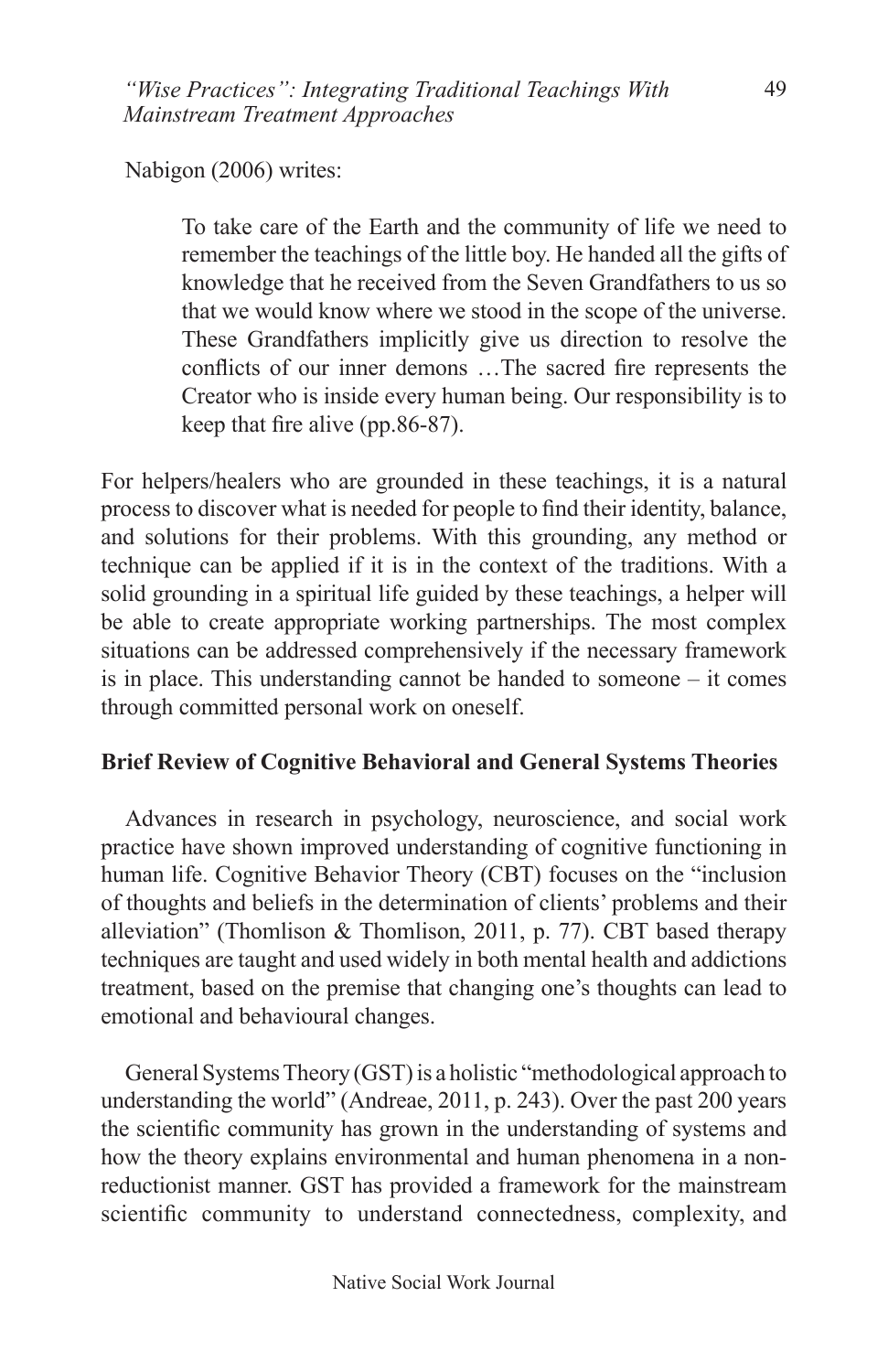Nabigon (2006) writes:

To take care of the Earth and the community of life we need to remember the teachings of the little boy. He handed all the gifts of knowledge that he received from the Seven Grandfathers to us so that we would know where we stood in the scope of the universe. These Grandfathers implicitly give us direction to resolve the conflicts of our inner demons …The sacred fire represents the Creator who is inside every human being. Our responsibility is to keep that fire alive (pp.86-87).

For helpers/healers who are grounded in these teachings, it is a natural process to discover what is needed for people to find their identity, balance, and solutions for their problems. With this grounding, any method or technique can be applied if it is in the context of the traditions. With a solid grounding in a spiritual life guided by these teachings, a helper will be able to create appropriate working partnerships. The most complex situations can be addressed comprehensively if the necessary framework is in place. This understanding cannot be handed to someone – it comes through committed personal work on oneself.

## **Brief Review of Cognitive Behavioral and General Systems Theories**

Advances in research in psychology, neuroscience, and social work practice have shown improved understanding of cognitive functioning in human life. Cognitive Behavior Theory (CBT) focuses on the "inclusion of thoughts and beliefs in the determination of clients' problems and their alleviation" (Thomlison & Thomlison, 2011, p. 77). CBT based therapy techniques are taught and used widely in both mental health and addictions treatment, based on the premise that changing one's thoughts can lead to emotional and behavioural changes.

General Systems Theory (GST) is a holistic "methodological approach to understanding the world" (Andreae, 2011, p. 243). Over the past 200 years the scientific community has grown in the understanding of systems and how the theory explains environmental and human phenomena in a nonreductionist manner. GST has provided a framework for the mainstream scientific community to understand connectedness, complexity, and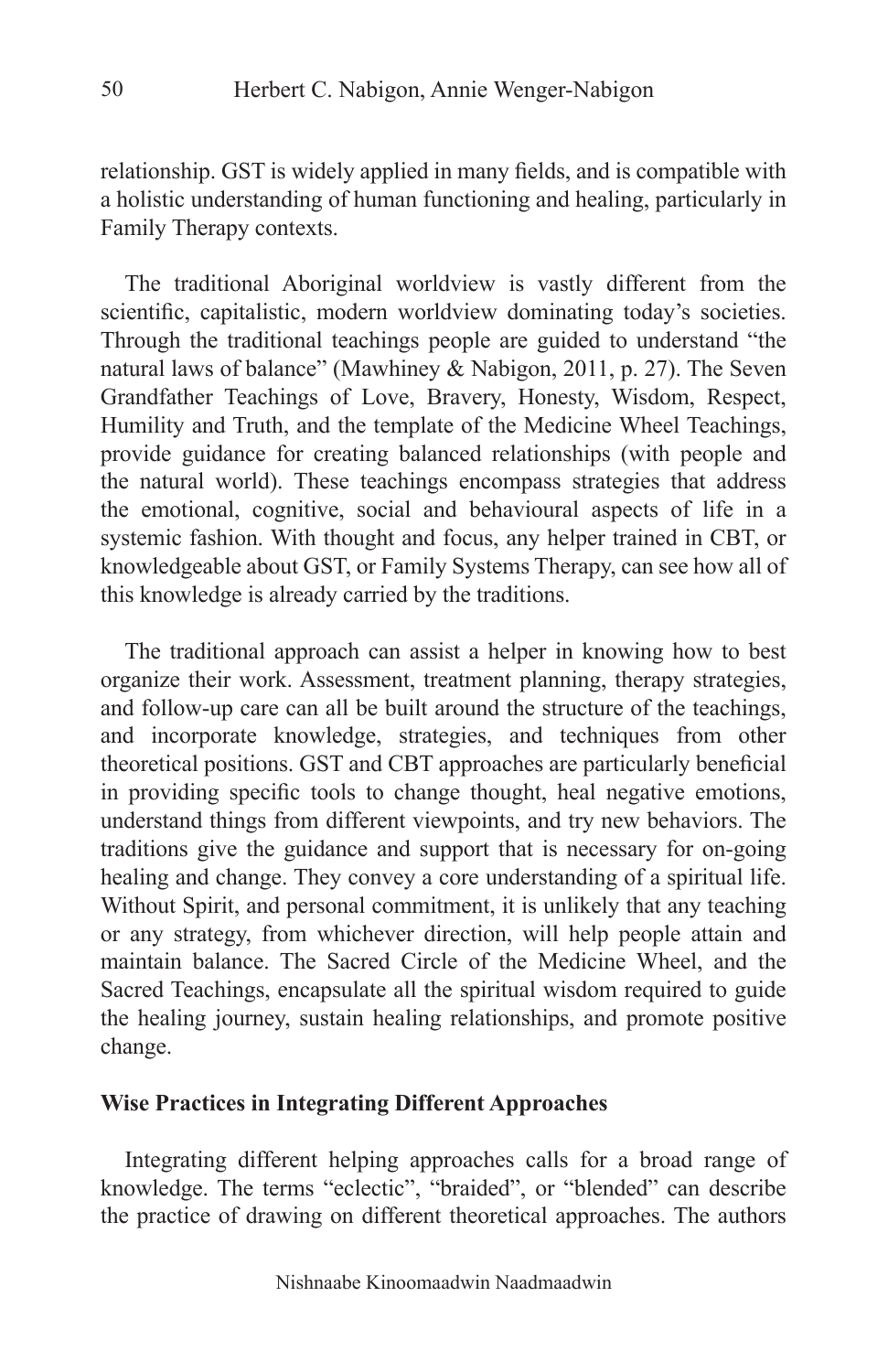relationship. GST is widely applied in many fields, and is compatible with a holistic understanding of human functioning and healing, particularly in Family Therapy contexts.

The traditional Aboriginal worldview is vastly different from the scientific, capitalistic, modern worldview dominating today's societies. Through the traditional teachings people are guided to understand "the natural laws of balance" (Mawhiney & Nabigon, 2011, p. 27). The Seven Grandfather Teachings of Love, Bravery, Honesty, Wisdom, Respect, Humility and Truth, and the template of the Medicine Wheel Teachings, provide guidance for creating balanced relationships (with people and the natural world). These teachings encompass strategies that address the emotional, cognitive, social and behavioural aspects of life in a systemic fashion. With thought and focus, any helper trained in CBT, or knowledgeable about GST, or Family Systems Therapy, can see how all of this knowledge is already carried by the traditions.

The traditional approach can assist a helper in knowing how to best organize their work. Assessment, treatment planning, therapy strategies, and follow-up care can all be built around the structure of the teachings, and incorporate knowledge, strategies, and techniques from other theoretical positions. GST and CBT approaches are particularly beneficial in providing specific tools to change thought, heal negative emotions, understand things from different viewpoints, and try new behaviors. The traditions give the guidance and support that is necessary for on-going healing and change. They convey a core understanding of a spiritual life. Without Spirit, and personal commitment, it is unlikely that any teaching or any strategy, from whichever direction, will help people attain and maintain balance. The Sacred Circle of the Medicine Wheel, and the Sacred Teachings, encapsulate all the spiritual wisdom required to guide the healing journey, sustain healing relationships, and promote positive change.

### **Wise Practices in Integrating Different Approaches**

Integrating different helping approaches calls for a broad range of knowledge. The terms "eclectic", "braided", or "blended" can describe the practice of drawing on different theoretical approaches. The authors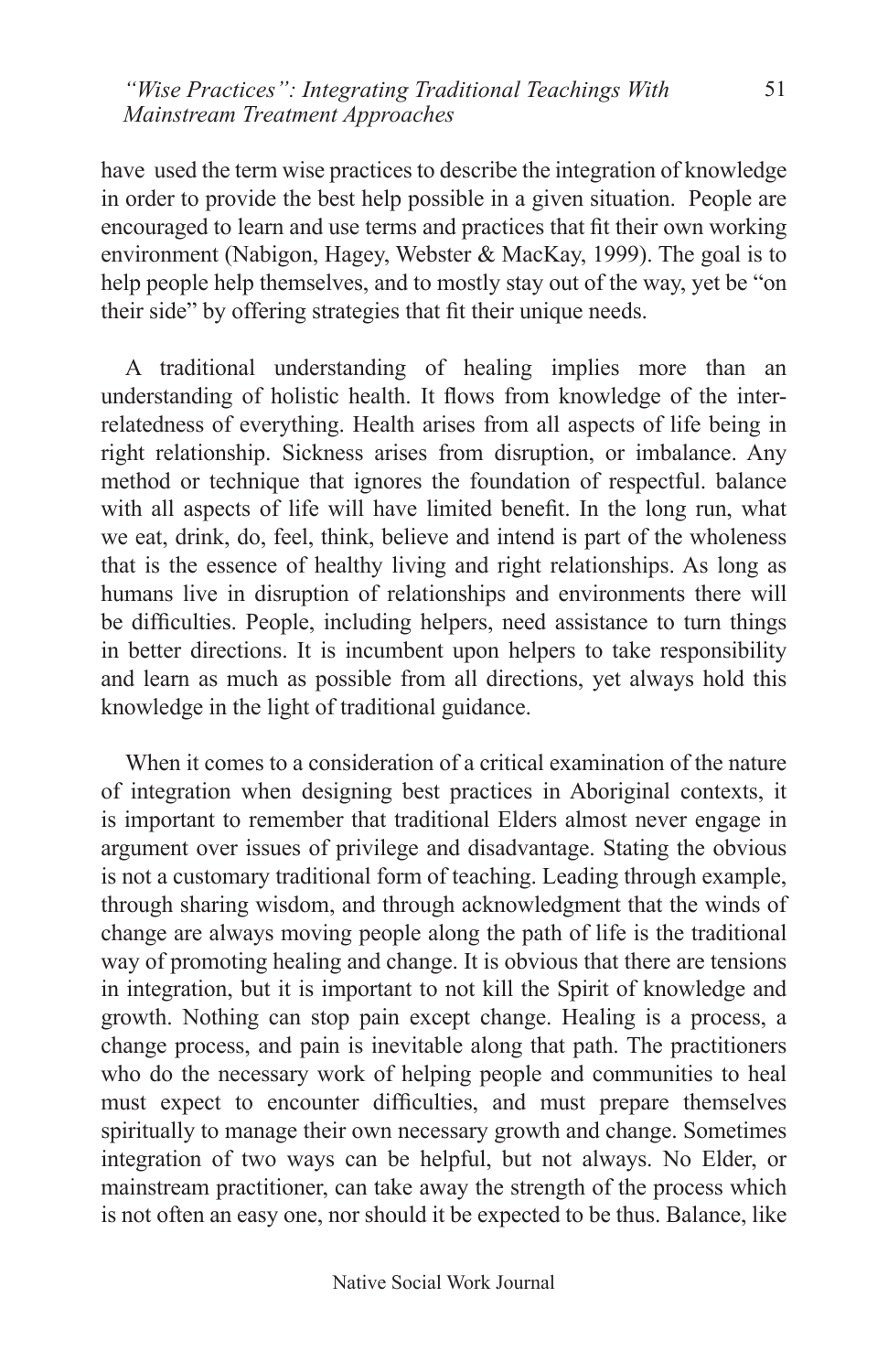have used the term wise practices to describe the integration of knowledge in order to provide the best help possible in a given situation. People are encouraged to learn and use terms and practices that fit their own working environment (Nabigon, Hagey, Webster & MacKay, 1999). The goal is to help people help themselves, and to mostly stay out of the way, yet be "on their side" by offering strategies that fit their unique needs.

A traditional understanding of healing implies more than an understanding of holistic health. It flows from knowledge of the interrelatedness of everything. Health arises from all aspects of life being in right relationship. Sickness arises from disruption, or imbalance. Any method or technique that ignores the foundation of respectful. balance with all aspects of life will have limited benefit. In the long run, what we eat, drink, do, feel, think, believe and intend is part of the wholeness that is the essence of healthy living and right relationships. As long as humans live in disruption of relationships and environments there will be difficulties. People, including helpers, need assistance to turn things in better directions. It is incumbent upon helpers to take responsibility and learn as much as possible from all directions, yet always hold this knowledge in the light of traditional guidance.

When it comes to a consideration of a critical examination of the nature of integration when designing best practices in Aboriginal contexts, it is important to remember that traditional Elders almost never engage in argument over issues of privilege and disadvantage. Stating the obvious is not a customary traditional form of teaching. Leading through example, through sharing wisdom, and through acknowledgment that the winds of change are always moving people along the path of life is the traditional way of promoting healing and change. It is obvious that there are tensions in integration, but it is important to not kill the Spirit of knowledge and growth. Nothing can stop pain except change. Healing is a process, a change process, and pain is inevitable along that path. The practitioners who do the necessary work of helping people and communities to heal must expect to encounter difficulties, and must prepare themselves spiritually to manage their own necessary growth and change. Sometimes integration of two ways can be helpful, but not always. No Elder, or mainstream practitioner, can take away the strength of the process which is not often an easy one, nor should it be expected to be thus. Balance, like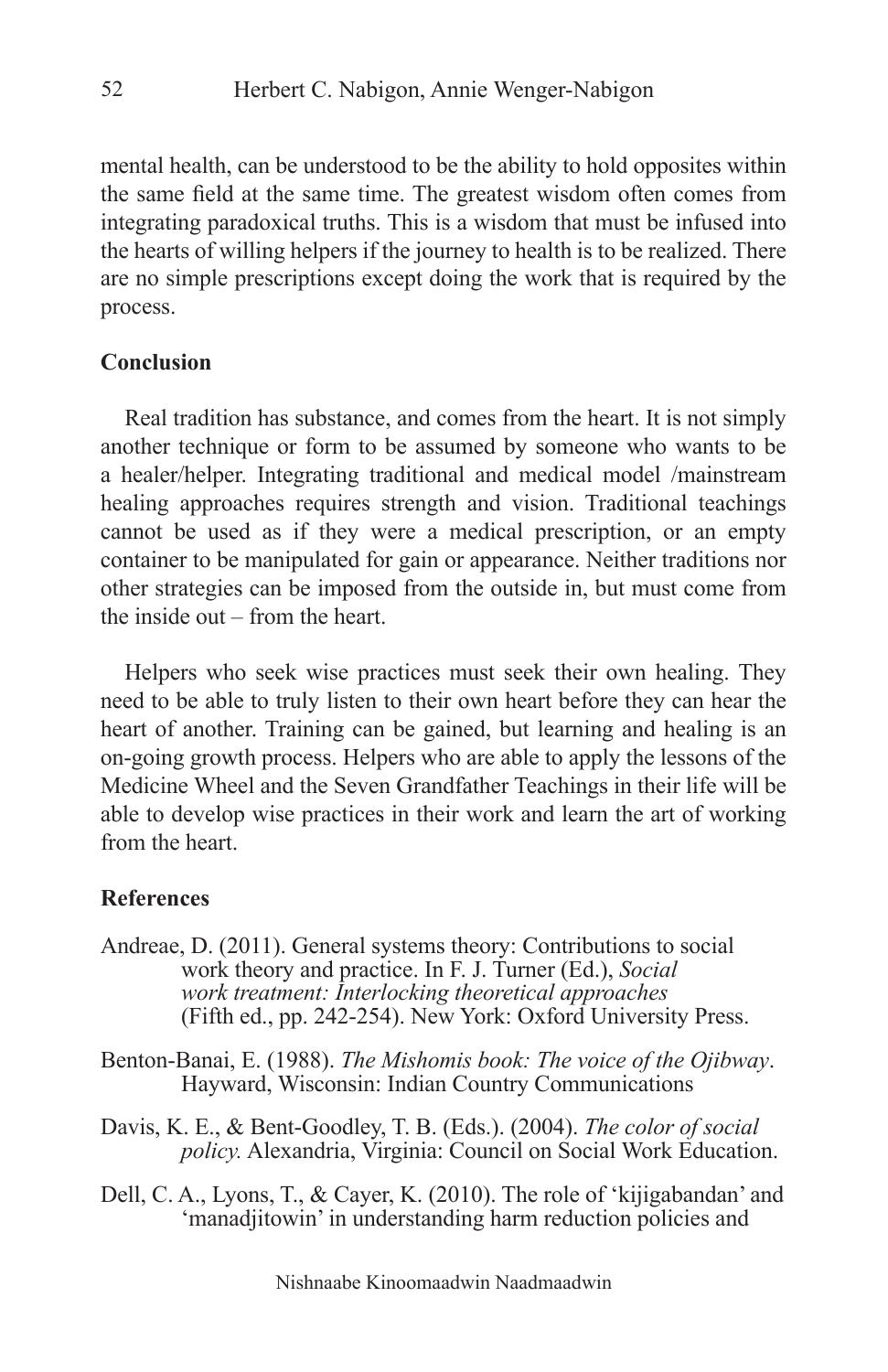mental health, can be understood to be the ability to hold opposites within the same field at the same time. The greatest wisdom often comes from integrating paradoxical truths. This is a wisdom that must be infused into the hearts of willing helpers if the journey to health is to be realized. There are no simple prescriptions except doing the work that is required by the process.

#### **Conclusion**

Real tradition has substance, and comes from the heart. It is not simply another technique or form to be assumed by someone who wants to be a healer/helper. Integrating traditional and medical model /mainstream healing approaches requires strength and vision. Traditional teachings cannot be used as if they were a medical prescription, or an empty container to be manipulated for gain or appearance. Neither traditions nor other strategies can be imposed from the outside in, but must come from the inside out – from the heart.

Helpers who seek wise practices must seek their own healing. They need to be able to truly listen to their own heart before they can hear the heart of another. Training can be gained, but learning and healing is an on-going growth process. Helpers who are able to apply the lessons of the Medicine Wheel and the Seven Grandfather Teachings in their life will be able to develop wise practices in their work and learn the art of working from the heart.

#### **References**

- Andreae, D. (2011). General systems theory: Contributions to social work theory and practice. In F. J. Turner (Ed.), *Social work treatment: Interlocking theoretical approaches* (Fifth ed., pp. 242-254). New York: Oxford University Press.
- Benton-Banai, E. (1988). *The Mishomis book: The voice of the Ojibway*. Hayward, Wisconsin: Indian Country Communications
- Davis, K. E., & Bent-Goodley, T. B. (Eds.). (2004). *The color of social policy.* Alexandria, Virginia: Council on Social Work Education.
- Dell, C. A., Lyons, T., & Cayer, K. (2010). The role of 'kijigabandan' and 'manadjitowin' in understanding harm reduction policies and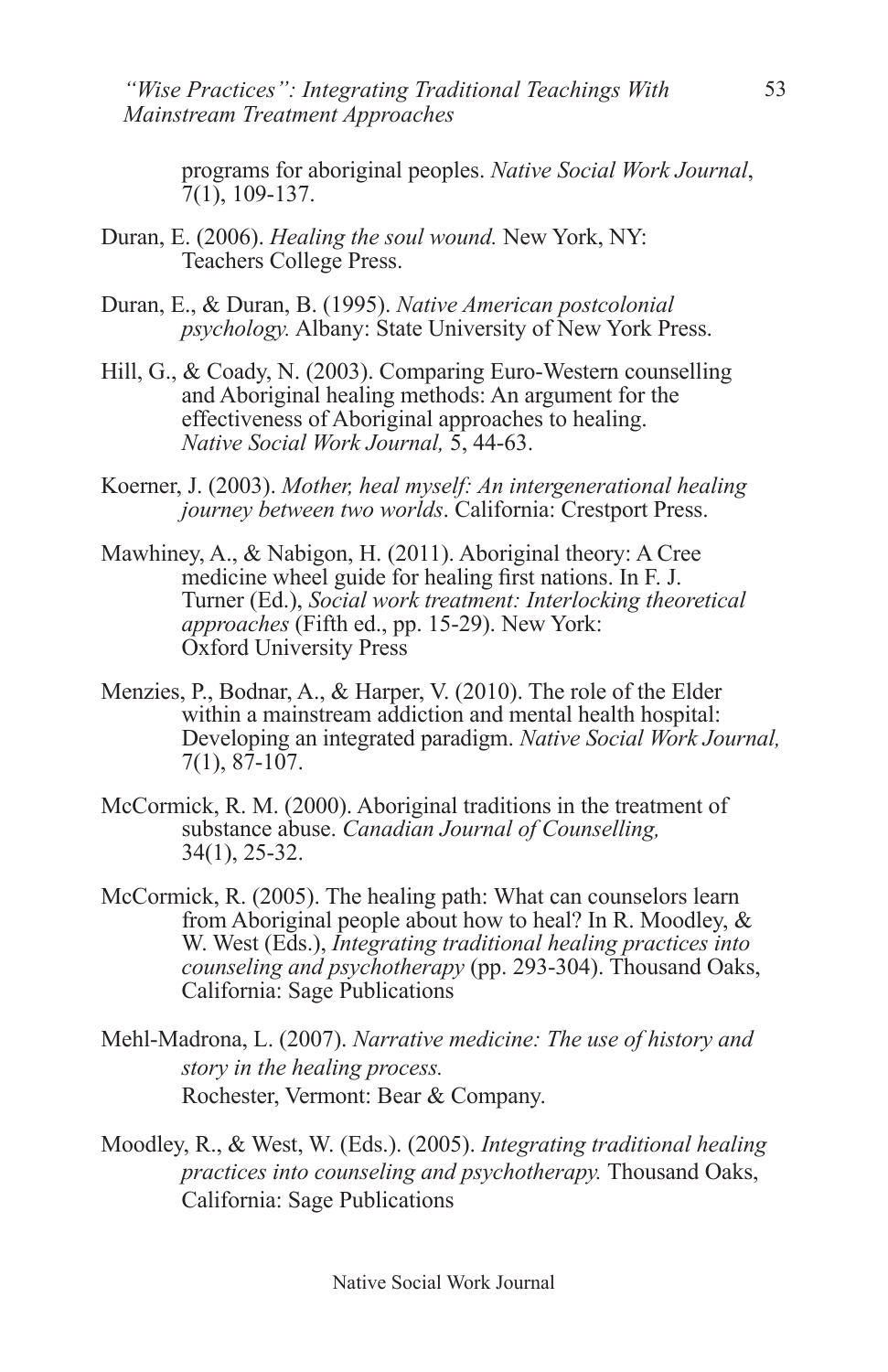*"Wise Practices": Integrating Traditional Teachings With Mainstream Treatment Approaches* 

programs for aboriginal peoples. *Native Social Work Journal*, 7(1), 109-137.

- Duran, E. (2006). *Healing the soul wound.* New York, NY: Teachers College Press.
- Duran, E., & Duran, B. (1995). *Native American postcolonial psychology.* Albany: State University of New York Press.
- Hill, G., & Coady, N. (2003). Comparing Euro-Western counselling and Aboriginal healing methods: An argument for the effectiveness of Aboriginal approaches to healing. *Native Social Work Journal,* 5, 44-63.
- Koerner, J. (2003). *Mother, heal myself: An intergenerational healing journey between two worlds*. California: Crestport Press.
- Mawhiney, A., & Nabigon, H. (2011). Aboriginal theory: A Cree medicine wheel guide for healing first nations. In F. J. Turner (Ed.), *Social work treatment: Interlocking theoretical approaches* (Fifth ed., pp. 15-29). New York: Oxford University Press
- Menzies, P., Bodnar, A., & Harper, V. (2010). The role of the Elder within a mainstream addiction and mental health hospital: Developing an integrated paradigm. *Native Social Work Journal,* 7(1), 87-107.
- McCormick, R. M. (2000). Aboriginal traditions in the treatment of substance abuse. *Canadian Journal of Counselling,* 34(1), 25-32.
- McCormick, R. (2005). The healing path: What can counselors learn from Aboriginal people about how to heal? In R. Moodley, & W. West (Eds.), *Integrating traditional healing practices into counseling and psychotherapy* (pp. 293-304). Thousand Oaks, California: Sage Publications
- Mehl-Madrona, L. (2007). *Narrative medicine: The use of history and story in the healing process.* Rochester, Vermont: Bear & Company.
- Moodley, R., & West, W. (Eds.). (2005). *Integrating traditional healing practices into counseling and psychotherapy.* Thousand Oaks, California: Sage Publications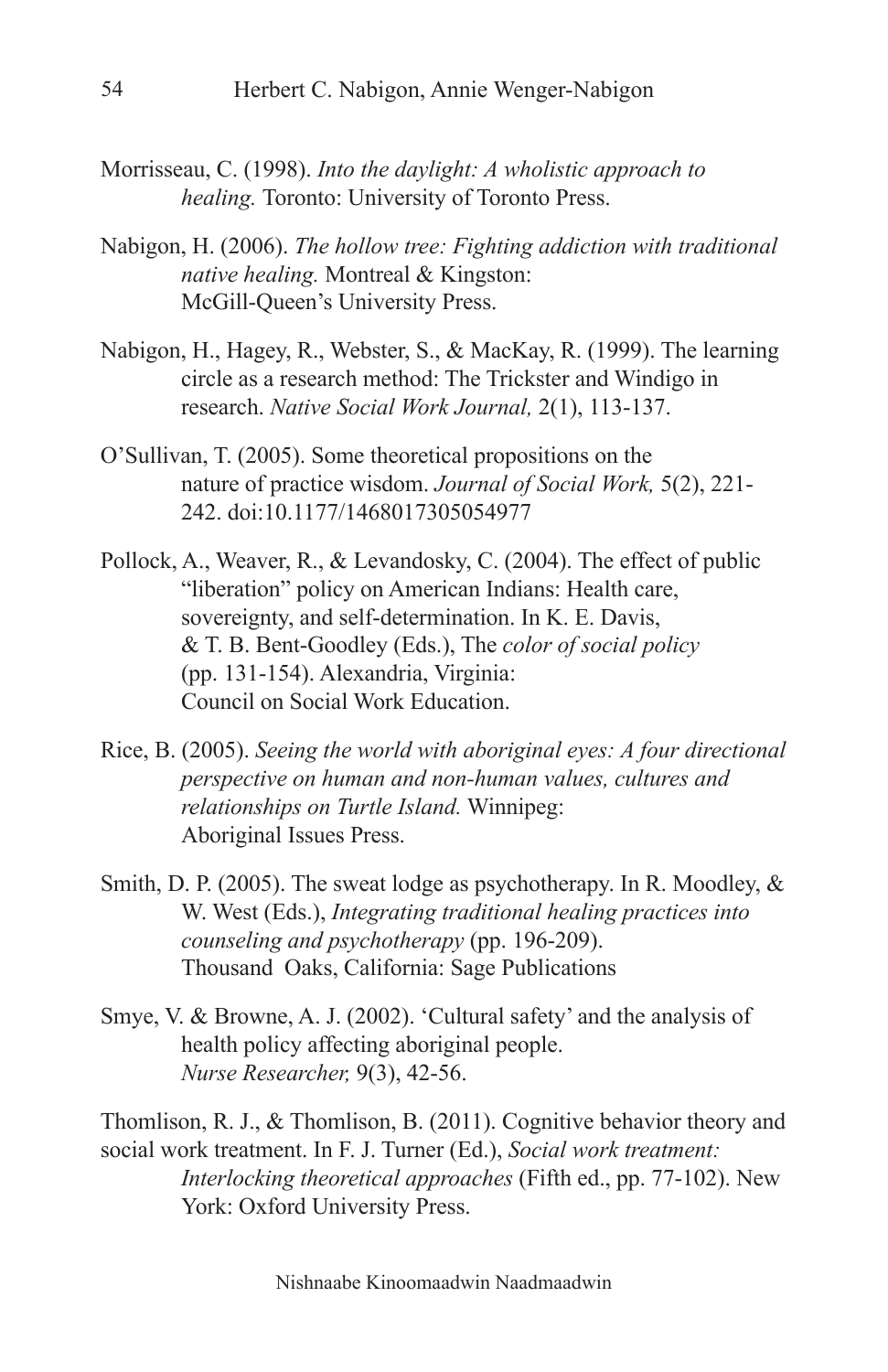- Morrisseau, C. (1998). *Into the daylight: A wholistic approach to healing.* Toronto: University of Toronto Press.
- Nabigon, H. (2006). *The hollow tree: Fighting addiction with traditional native healing.* Montreal & Kingston: McGill-Queen's University Press.
- Nabigon, H., Hagey, R., Webster, S., & MacKay, R. (1999). The learning circle as a research method: The Trickster and Windigo in research. *Native Social Work Journal,* 2(1), 113-137.
- O'Sullivan, T. (2005). Some theoretical propositions on the nature of practice wisdom. *Journal of Social Work,* 5(2), 221- 242. doi:10.1177/1468017305054977
- Pollock, A., Weaver, R., & Levandosky, C. (2004). The effect of public "liberation" policy on American Indians: Health care, sovereignty, and self-determination. In K. E. Davis, & T. B. Bent-Goodley (Eds.), The *color of social policy*  (pp. 131-154). Alexandria, Virginia: Council on Social Work Education.
- Rice, B. (2005). *Seeing the world with aboriginal eyes: A four directional perspective on human and non-human values, cultures and relationships on Turtle Island.* Winnipeg: Aboriginal Issues Press.
- Smith, D. P. (2005). The sweat lodge as psychotherapy. In R. Moodley, & W. West (Eds.), *Integrating traditional healing practices into counseling and psychotherapy* (pp. 196-209). Thousand Oaks, California: Sage Publications
- Smye, V. & Browne, A. J. (2002). 'Cultural safety' and the analysis of health policy affecting aboriginal people. *Nurse Researcher,* 9(3), 42-56.

Thomlison, R. J., & Thomlison, B. (2011). Cognitive behavior theory and social work treatment. In F. J. Turner (Ed.), *Social work treatment:*

*Interlocking theoretical approaches* (Fifth ed., pp. 77-102). New York: Oxford University Press.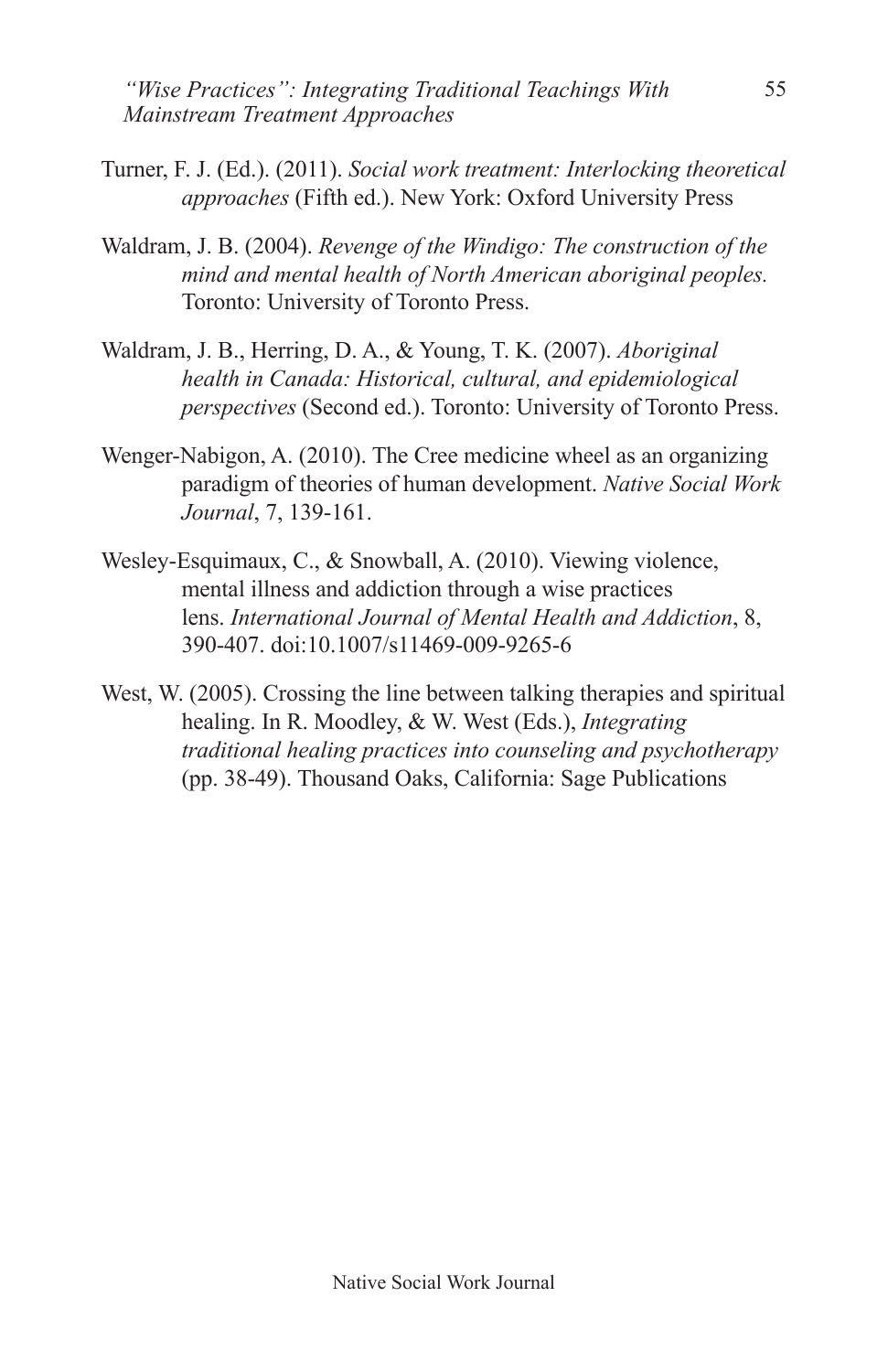*"Wise Practices": Integrating Traditional Teachings With Mainstream Treatment Approaches* 

- Turner, F. J. (Ed.). (2011). *Social work treatment: Interlocking theoretical approaches* (Fifth ed.). New York: Oxford University Press
- Waldram, J. B. (2004). *Revenge of the Windigo: The construction of the mind and mental health of North American aboriginal peoples.* Toronto: University of Toronto Press.
- Waldram, J. B., Herring, D. A., & Young, T. K. (2007). *Aboriginal health in Canada: Historical, cultural, and epidemiological perspectives* (Second ed.). Toronto: University of Toronto Press.
- Wenger-Nabigon, A. (2010). The Cree medicine wheel as an organizing paradigm of theories of human development. *Native Social Work Journal*, 7, 139-161.
- Wesley-Esquimaux, C., & Snowball, A. (2010). Viewing violence, mental illness and addiction through a wise practices lens. *International Journal of Mental Health and Addiction*, 8, 390-407. doi:10.1007/s11469-009-9265-6
- West, W. (2005). Crossing the line between talking therapies and spiritual healing. In R. Moodley, & W. West (Eds.), *Integrating traditional healing practices into counseling and psychotherapy*  (pp. 38-49). Thousand Oaks, California: Sage Publications